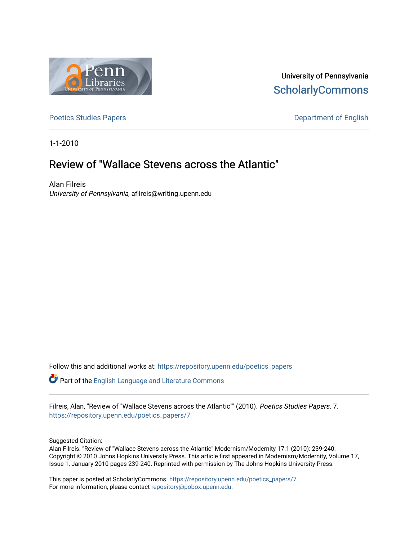

University of Pennsylvania **ScholarlyCommons** 

[Poetics Studies Papers](https://repository.upenn.edu/poetics_papers) **Department of English** 

1-1-2010

# Review of "Wallace Stevens across the Atlantic"

Alan Filreis University of Pennsylvania, afilreis@writing.upenn.edu

Follow this and additional works at: [https://repository.upenn.edu/poetics\\_papers](https://repository.upenn.edu/poetics_papers?utm_source=repository.upenn.edu%2Fpoetics_papers%2F7&utm_medium=PDF&utm_campaign=PDFCoverPages)

**Part of the [English Language and Literature Commons](http://network.bepress.com/hgg/discipline/455?utm_source=repository.upenn.edu%2Fpoetics_papers%2F7&utm_medium=PDF&utm_campaign=PDFCoverPages)** 

Filreis, Alan, "Review of "Wallace Stevens across the Atlantic"" (2010). Poetics Studies Papers. 7. [https://repository.upenn.edu/poetics\\_papers/7](https://repository.upenn.edu/poetics_papers/7?utm_source=repository.upenn.edu%2Fpoetics_papers%2F7&utm_medium=PDF&utm_campaign=PDFCoverPages)

Suggested Citation:

Alan Filreis. "Review of "Wallace Stevens across the Atlantic" Modernism/Modernity 17.1 (2010): 239-240. Copyright © 2010 Johns Hopkins University Press. This article first appeared in Modernism/Modernity, Volume 17, Issue 1, January 2010 pages 239-240. Reprinted with permission by The Johns Hopkins University Press.

This paper is posted at ScholarlyCommons. [https://repository.upenn.edu/poetics\\_papers/7](https://repository.upenn.edu/poetics_papers/7)  For more information, please contact [repository@pobox.upenn.edu.](mailto:repository@pobox.upenn.edu)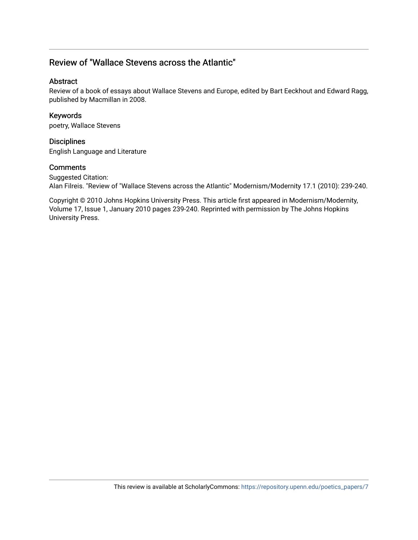# Review of "Wallace Stevens across the Atlantic"

#### Abstract

Review of a book of essays about Wallace Stevens and Europe, edited by Bart Eeckhout and Edward Ragg, published by Macmillan in 2008.

### Keywords

poetry, Wallace Stevens

# **Disciplines**

English Language and Literature

# Comments

Suggested Citation: Alan Filreis. "Review of "Wallace Stevens across the Atlantic" Modernism/Modernity 17.1 (2010): 239-240.

Copyright © 2010 Johns Hopkins University Press. This article first appeared in Modernism/Modernity, Volume 17, Issue 1, January 2010 pages 239-240. Reprinted with permission by The Johns Hopkins University Press.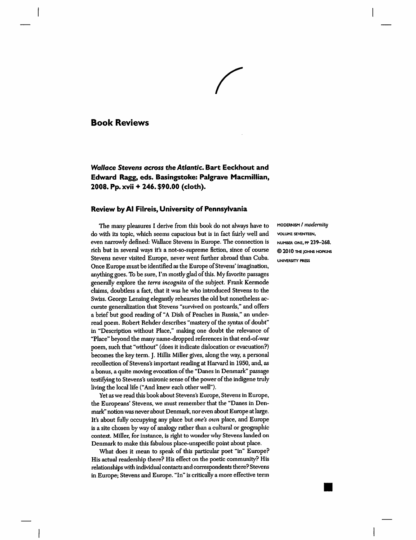#### **Book Reviews**

**Wallace Stevens across the Atlantic. Bart Eeckhout and** Edward Ragg, eds. Basingstoke: Palgrave Macmillian, 2008. Pp. xvii + 246. \$90.00 (cloth).

#### Review by Al Filreis, University of Pennsylvania

The many pleasures I derive from this book do not always have to do with its topic, which seems capacious but is in fact fairly well and even narrowly defined: Wallace Stevens in Europe. The connection is rich but in several ways it's a not-so-supreme fiction, since of course Stevens never visited Europe, never went further abroad than Cuba. Once Europe must be identified as the Europe of Stevens' imagination, anything goes. To be sure, I'm mostly glad of this. My favorite passages generally explore the *terra incognita* of the subject. Frank Kermode claims, doubtless a fact, that it was he who introduced Stevens to the Swiss. George Lensing elegantly rehearses the old but nonetheless accurate generalization that Stevens "survived on postcards," and offers a brief but good reading of "A Dish of Peaches in Russia," an underread poem. Robert Rehder describes "mastery of the syntax of doubt" in "Description without Place," making one doubt the relevance of "Place" beyond the many name-dropped references in that end-of-war poem, such that "without" (does it indicate dislocation or evacuation?) becomes the key term. J. Hillis Miller gives, along the way, a personal recollection of Stevens's important reading at Harvard in 1950, and, as a bonus, a quite moving evocation of the "Danes in Denmark" passage testifying to Stevens's unironic sense of the power of the indigene truly living the local life ("And knew each other well").

Yet as we read this book about Stevens's Europe, Stevens in Europe, the Europeans' Stevens, we must remember that the "Danes in Denmark" notion was never about Denmark, nor even about Europe at large. It's about fully occupying any place but one's own place, and Europe is a site chosen by way of analogy rather than a cultural or geographic context. Miller, for instance, is right to wonder why Stevens landed on Denmark to make this fabulous place-unspecific point about place.

What does it mean to speak of this particular poet "in" Europe? His actual readership there? His effect on the poetic community? His relationships with individual contacts and correspondents there? Stevens in Europe; Stevens and Europe. "In" is critically a more effective term

MODERNISM / modernity VOLUME SEVENTEEN, NUMBER ONE, PP 239-268. C 2010 THE JOHNS HOPKINS **UNIVERSITY PRESS**